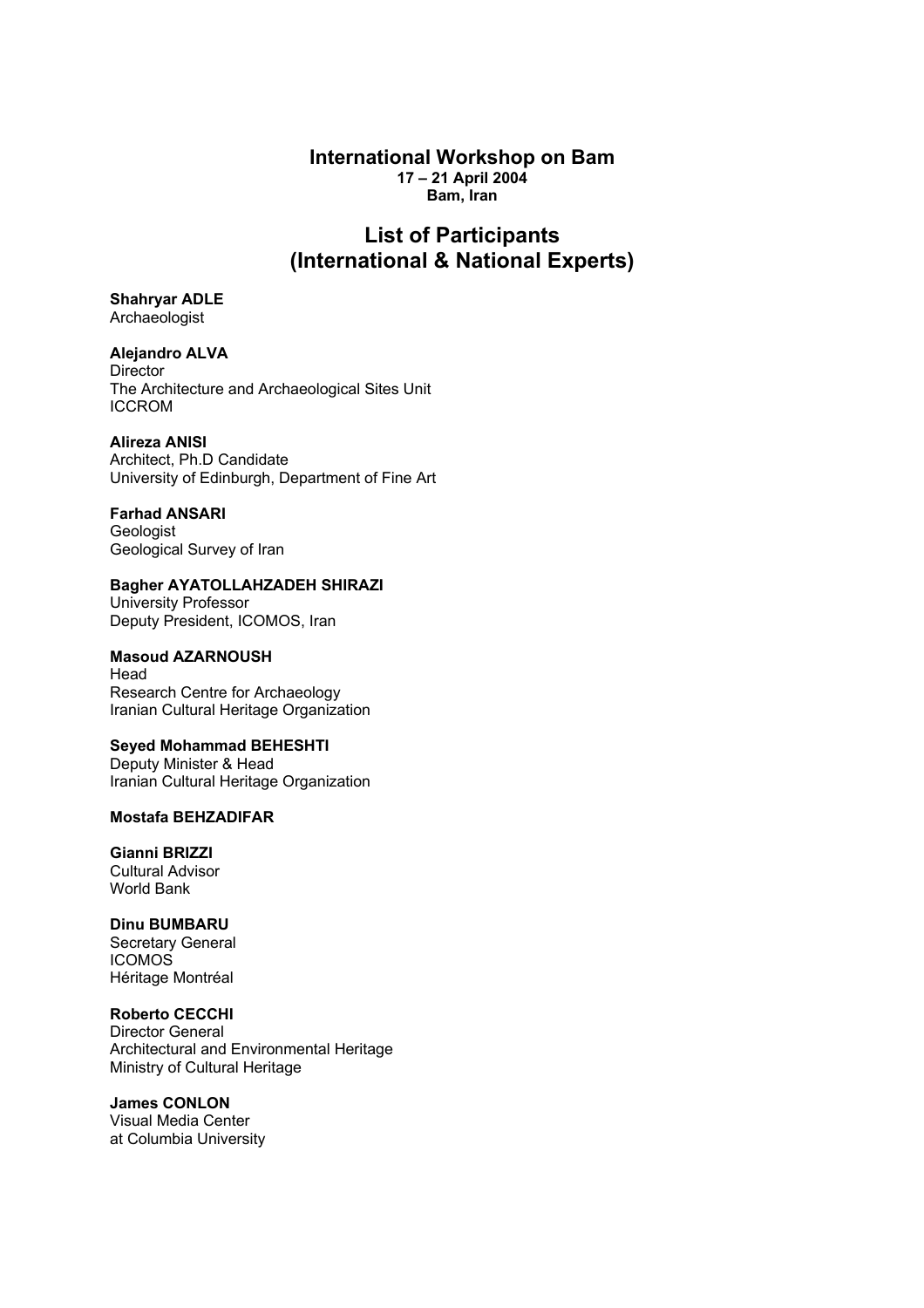### **International Workshop on Bam 17 – 21 April 2004 Bam, Iran**

# **List of Participants (International & National Experts)**

**Shahryar ADLE**  Archaeologist

**Alejandro ALVA Director** The Architecture and Archaeological Sites Unit ICCROM

**Alireza ANISI** 

Architect, Ph.D Candidate University of Edinburgh, Department of Fine Art

**Farhad ANSARI Geologist** Geological Survey of Iran

**Bagher AYATOLLAHZADEH SHIRAZI**  University Professor Deputy President, ICOMOS, Iran

**Masoud AZARNOUSH**  Head Research Centre for Archaeology Iranian Cultural Heritage Organization

**Seyed Mohammad BEHESHTI**  Deputy Minister & Head Iranian Cultural Heritage Organization

**Mostafa BEHZADIFAR** 

**Gianni BRIZZI**  Cultural Advisor World Bank

**Dinu BUMBARU**  Secretary General ICOMOS Héritage Montréal

**Roberto CECCHI**  Director General Architectural and Environmental Heritage Ministry of Cultural Heritage

**James CONLON**  Visual Media Center at Columbia University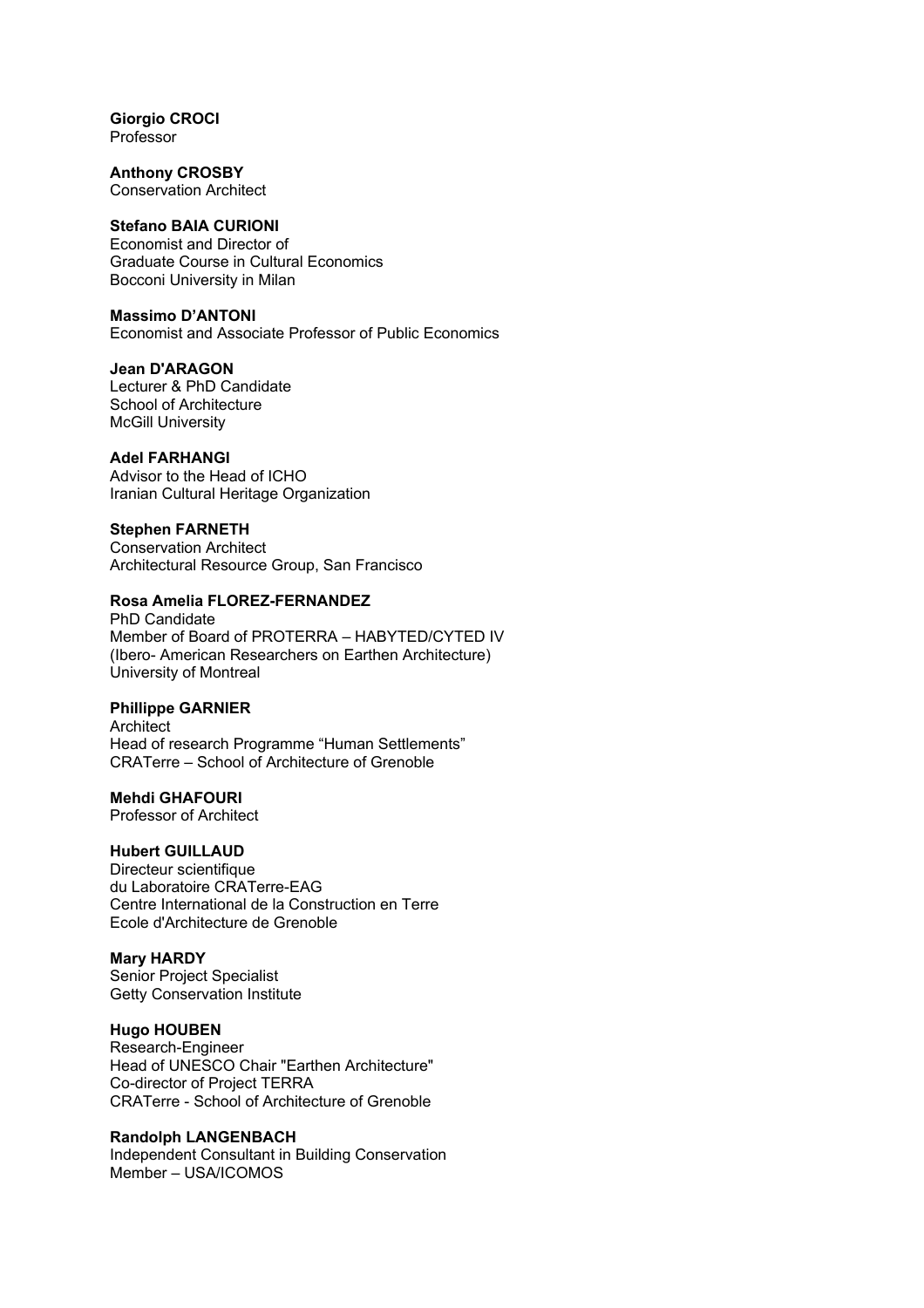**Giorgio CROCI**  Professor

**Anthony CROSBY**  Conservation Architect

### **Stefano BAIA CURIONI**

Economist and Director of Graduate Course in Cultural Economics Bocconi University in Milan

### **Massimo D'ANTONI**

Economist and Associate Professor of Public Economics

### **Jean D'ARAGON**

Lecturer & PhD Candidate School of Architecture McGill University

#### **Adel FARHANGI**

Advisor to the Head of ICHO Iranian Cultural Heritage Organization

#### **Stephen FARNETH**

Conservation Architect Architectural Resource Group, San Francisco

### **Rosa Amelia FLOREZ-FERNANDEZ**

PhD Candidate Member of Board of PROTERRA – HABYTED/CYTED IV (Ibero- American Researchers on Earthen Architecture) University of Montreal

#### **Phillippe GARNIER**

Architect Head of research Programme "Human Settlements" CRATerre – School of Architecture of Grenoble

#### **Mehdi GHAFOURI**

Professor of Architect

### **Hubert GUILLAUD**

Directeur scientifique du Laboratoire CRATerre-EAG Centre International de la Construction en Terre Ecole d'Architecture de Grenoble

#### **Mary HARDY**

Senior Project Specialist Getty Conservation Institute

## **Hugo HOUBEN**

Research-Engineer Head of UNESCO Chair "Earthen Architecture" Co-director of Project TERRA CRATerre - School of Architecture of Grenoble

#### **Randolph LANGENBACH**

Independent Consultant in Building Conservation Member – USA/ICOMOS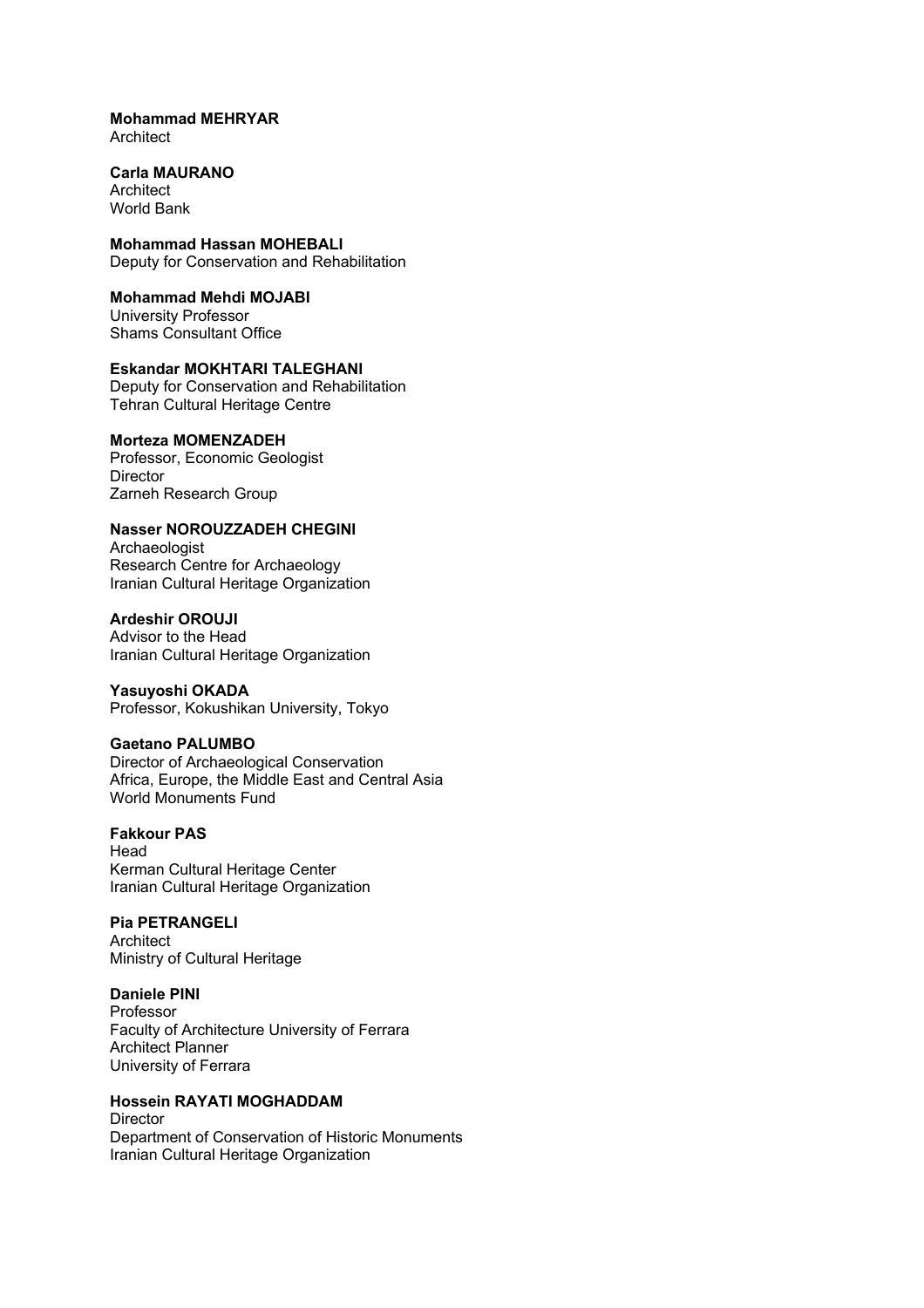#### **Mohammad MEHRYAR Architect**

#### **Carla MAURANO Architect** World Bank

**Mohammad Hassan MOHEBALI**  Deputy for Conservation and Rehabilitation

#### **Mohammad Mehdi MOJABI**  University Professor Shams Consultant Office

**Eskandar MOKHTARI TALEGHANI**  Deputy for Conservation and Rehabilitation Tehran Cultural Heritage Centre

### **Morteza MOMENZADEH**

Professor, Economic Geologist **Director** Zarneh Research Group

### **Nasser NOROUZZADEH CHEGINI**

Archaeologist Research Centre for Archaeology Iranian Cultural Heritage Organization

### **Ardeshir OROUJI**

Advisor to the Head Iranian Cultural Heritage Organization

### **Yasuyoshi OKADA**

Professor, Kokushikan University, Tokyo

### **Gaetano PALUMBO**

Director of Archaeological Conservation Africa, Europe, the Middle East and Central Asia World Monuments Fund

### **Fakkour PAS**

Head Kerman Cultural Heritage Center Iranian Cultural Heritage Organization

## **Pia PETRANGELI**

**Architect** Ministry of Cultural Heritage

#### **Daniele PINI**

Professor Faculty of Architecture University of Ferrara Architect Planner University of Ferrara

## **Hossein RAYATI MOGHADDAM**

**Director** Department of Conservation of Historic Monuments Iranian Cultural Heritage Organization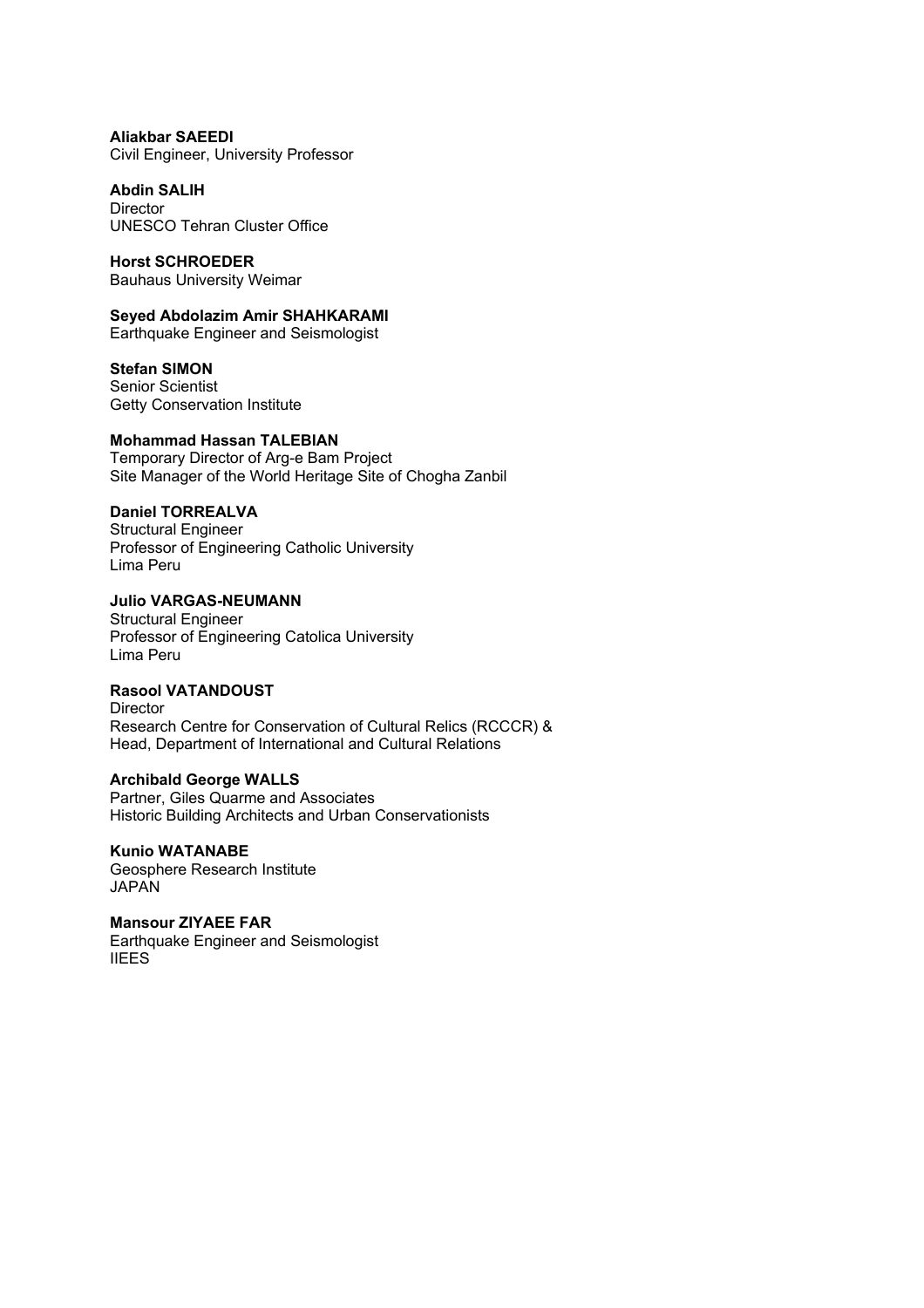**Aliakbar SAEEDI**  Civil Engineer, University Professor

**Abdin SALIH**  Director UNESCO Tehran Cluster Office

**Horst SCHROEDER**  Bauhaus University Weimar

**Seyed Abdolazim Amir SHAHKARAMI**  Earthquake Engineer and Seismologist

**Stefan SIMON**  Senior Scientist Getty Conservation Institute

### **Mohammad Hassan TALEBIAN**

Temporary Director of Arg-e Bam Project Site Manager of the World Heritage Site of Chogha Zanbil

## **Daniel TORREALVA**

Structural Engineer Professor of Engineering Catholic University Lima Peru

### **Julio VARGAS-NEUMANN**

Structural Engineer Professor of Engineering Catolica University Lima Peru

**Rasool VATANDOUST**  Director

Research Centre for Conservation of Cultural Relics (RCCCR) & Head, Department of International and Cultural Relations

### **Archibald George WALLS**

Partner, Giles Quarme and Associates Historic Building Architects and Urban Conservationists

### **Kunio WATANABE**

Geosphere Research Institute JAPAN

## **Mansour ZIYAEE FAR**

Earthquake Engineer and Seismologist IIEES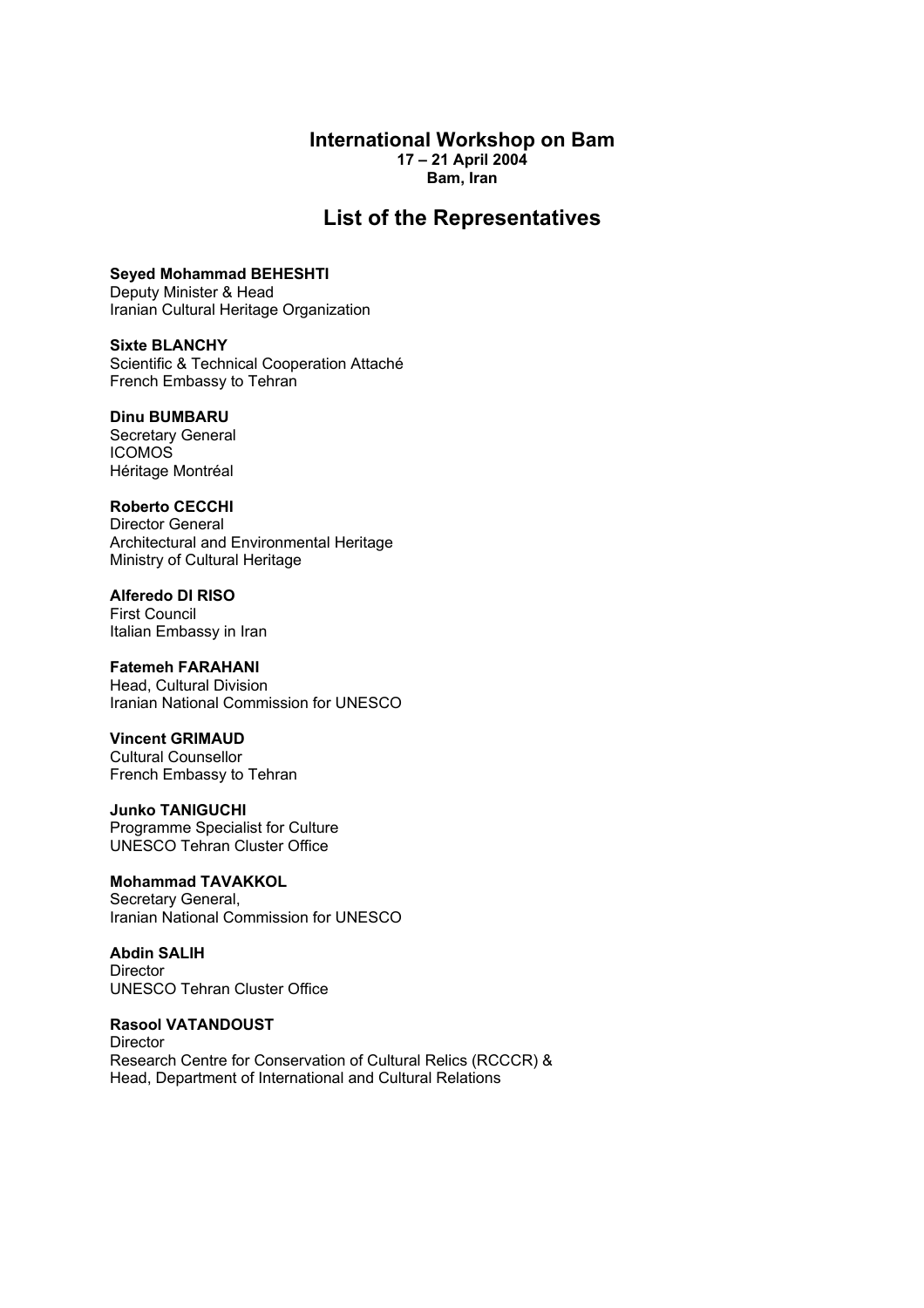### **International Workshop on Bam 17 – 21 April 2004 Bam, Iran**

# **List of the Representatives**

**Seyed Mohammad BEHESHTI**  Deputy Minister & Head Iranian Cultural Heritage Organization

**Sixte BLANCHY**  Scientific & Technical Cooperation Attaché French Embassy to Tehran

#### **Dinu BUMBARU**

Secretary General ICOMOS Héritage Montréal

### **Roberto CECCHI**

Director General Architectural and Environmental Heritage Ministry of Cultural Heritage

### **Alferedo DI RISO**

First Council Italian Embassy in Iran

### **Fatemeh FARAHANI**

Head, Cultural Division Iranian National Commission for UNESCO

### **Vincent GRIMAUD**

Cultural Counsellor French Embassy to Tehran

### **Junko TANIGUCHI**

Programme Specialist for Culture UNESCO Tehran Cluster Office

### **Mohammad TAVAKKOL**

Secretary General, Iranian National Commission for UNESCO

### **Abdin SALIH**

**Director** UNESCO Tehran Cluster Office

### **Rasool VATANDOUST**

**Director** Research Centre for Conservation of Cultural Relics (RCCCR) & Head, Department of International and Cultural Relations